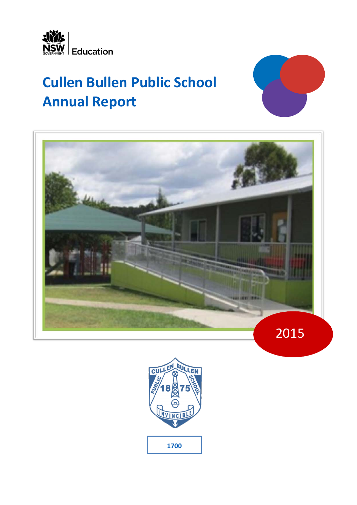

# **Cullen Bullen Public School Annual Report**





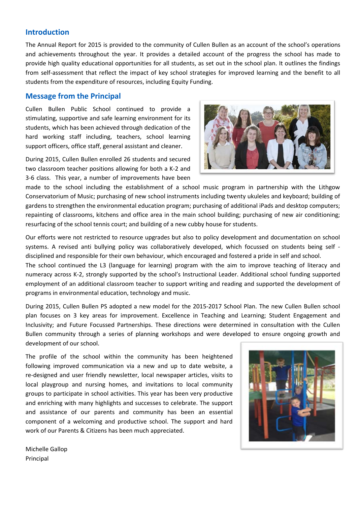# **Introduction**

The Annual Report for 2015 is provided to the community of Cullen Bullen as an account of the school's operations and achievements throughout the year. It provides a detailed account of the progress the school has made to provide high quality educational opportunities for all students, as set out in the school plan. It outlines the findings from self-assessment that reflect the impact of key school strategies for improved learning and the benefit to all students from the expenditure of resources, including Equity Funding.

# **Message from the Principal**

Cullen Bullen Public School continued to provide a stimulating, supportive and safe learning environment for its students, which has been achieved through dedication of the hard working staff including, teachers, school learning support officers, office staff, general assistant and cleaner.

During 2015, Cullen Bullen enrolled 26 students and secured two classroom teacher positions allowing for both a K-2 and 3-6 class. This year, a number of improvements have been



made to the school including the establishment of a school music program in partnership with the Lithgow Conservatorium of Music; purchasing of new school instruments including twenty ukuleles and keyboard; building of gardens to strengthen the environmental education program; purchasing of additional iPads and desktop computers; repainting of classrooms, kitchens and office area in the main school building; purchasing of new air conditioning; resurfacing of the school tennis court; and building of a new cubby house for students.

Our efforts were not restricted to resource upgrades but also to policy development and documentation on school systems. A revised anti bullying policy was collaboratively developed, which focussed on students being self disciplined and responsible for their own behaviour, which encouraged and fostered a pride in self and school.

The school continued the L3 (language for learning) program with the aim to improve teaching of literacy and numeracy across K-2, strongly supported by the school's Instructional Leader. Additional school funding supported employment of an additional classroom teacher to support writing and reading and supported the development of programs in environmental education, technology and music.

During 2015, Cullen Bullen PS adopted a new model for the 2015-2017 School Plan. The new Cullen Bullen school plan focuses on 3 key areas for improvement. Excellence in Teaching and Learning; Student Engagement and Inclusivity; and Future Focussed Partnerships. These directions were determined in consultation with the Cullen Bullen community through a series of planning workshops and were developed to ensure ongoing growth and development of our school.

The profile of the school within the community has been heightened following improved communication via a new and up to date website, a re-designed and user friendly newsletter, local newspaper articles, visits to local playgroup and nursing homes, and invitations to local community groups to participate in school activities. This year has been very productive and enriching with many highlights and successes to celebrate. The support and assistance of our parents and community has been an essential component of a welcoming and productive school. The support and hard work of our Parents & Citizens has been much appreciated.



Michelle Gallop Principal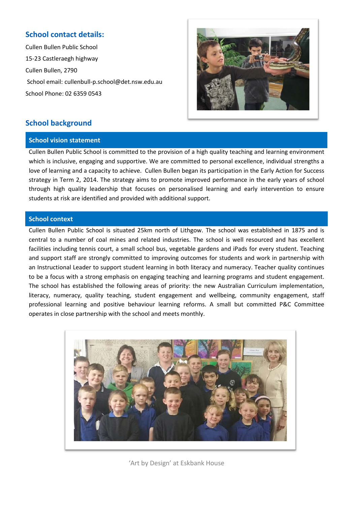# **School contact details:**

Cullen Bullen Public School 15-23 Castleraegh highway Cullen Bullen, 2790 School email: cullenbull-p.school@det.nsw.edu.au School Phone: 02 6359 0543



# **School background**

# **School vision statement**

Cullen Bullen Public School is committed to the provision of a high quality teaching and learning environment which is inclusive, engaging and supportive. We are committed to personal excellence, individual strengths a love of learning and a capacity to achieve. Cullen Bullen began its participation in the Early Action for Success strategy in Term 2, 2014. The strategy aims to promote improved performance in the early years of school through high quality leadership that focuses on personalised learning and early intervention to ensure students at risk are identified and provided with additional support.

# **School context**

Cullen Bullen Public School is situated 25km north of Lithgow. The school was established in 1875 and is central to a number of coal mines and related industries. The school is well resourced and has excellent facilities including tennis court, a small school bus, vegetable gardens and iPads for every student. Teaching and support staff are strongly committed to improving outcomes for students and work in partnership with an Instructional Leader to support student learning in both literacy and numeracy. Teacher quality continues to be a focus with a strong emphasis on engaging teaching and learning programs and student engagement. The school has established the following areas of priority: the new Australian Curriculum implementation, literacy, numeracy, quality teaching, student engagement and wellbeing, community engagement, staff professional learning and positive behaviour learning reforms. A small but committed P&C Committee operates in close partnership with the school and meets monthly.



'Art by Design' at Eskbank House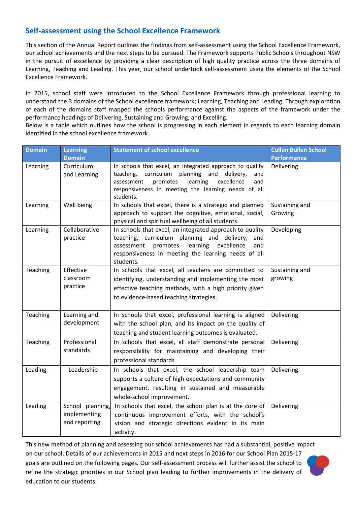# **Self-assessment using the School Excellence Framework**

This section of the Annual Report outlines the findings from self-assessment using the School Excellence Framework, our school achievements and the next steps to be pursued. The Framework supports Public Schools throughout NSW in the pursuit of excellence by providing a clear description of high quality practice across the three domains of Learning, Teaching and Leading. This year, our school undertook self-assessment using the elements of the School Excellence Framework.

In 2015, school staff were introduced to the School Excellence Framework through professional learning to understand the 3 domains of the School excellence framework; Learning, Teaching and Leading. Through exploration of each of the domains staff mapped the schools performance against the aspects of the framework under the performance headings of Delivering, Sustaining and Growing, and Excelling.

Below is a table which outlines how the school is progressing in each element in regards to each learning domain identified in the school excellence framework.

| <b>Domain</b> | <b>Learning</b>                                   | <b>Statement of school excellence</b>                                                                                                                                                                                                                  | <b>Cullen Bullen School</b> |
|---------------|---------------------------------------------------|--------------------------------------------------------------------------------------------------------------------------------------------------------------------------------------------------------------------------------------------------------|-----------------------------|
|               | <b>Domain</b>                                     |                                                                                                                                                                                                                                                        | <b>Performance</b>          |
| Learning      | Curriculum<br>and Learning                        | In schools that excel, an integrated approach to quality<br>curriculum<br>planning and<br>teaching,<br>delivery,<br>and<br>assessment<br>promotes<br>learning<br>excellence<br>and<br>responsiveness in meeting the learning needs of all<br>students. | Delivering                  |
| Learning      | Well being                                        | In schools that excel, there is a strategic and planned<br>approach to support the cognitive, emotional, social,<br>physical and spiritual wellbeing of all students.                                                                                  | Sustaining and<br>Growing   |
| Learning      | Collaborative<br>practice                         | In schools that excel, an integrated approach to quality<br>teaching, curriculum planning and delivery,<br>and<br>promotes<br>learning<br>excellence<br>assessment<br>and<br>responsiveness in meeting the learning needs of all<br>students.          | Developing                  |
| Teaching      | Effective<br>classroom<br>practice                | In schools that excel, all teachers are committed to<br>identifying, understanding and implementing the most<br>effective teaching methods, with a high priority given<br>to evidence-based teaching strategies.                                       | Sustaining and<br>growing   |
| Teaching      | Learning and<br>development                       | In schools that excel, professional learning is aligned<br>with the school plan, and its impact on the quality of<br>teaching and student learning outcomes is evaluated.                                                                              | Delivering                  |
| Teaching      | Professional<br>standards                         | In schools that excel, all staff demonstrate personal<br>responsibility for maintaining and developing their<br>professional standards                                                                                                                 | Delivering                  |
| Leading       | Leadership                                        | In schools that excel, the school leadership team<br>supports a culture of high expectations and community<br>engagement, resulting in sustained and measurable<br>whole-school improvement.                                                           | Delivering                  |
| Leading       | School planning,<br>implementing<br>and reporting | In schools that excel, the school plan is at the core of<br>continuous improvement efforts, with the school's<br>vision and strategic directions evident in its main<br>activity.                                                                      | Delivering                  |

This new method of planning and assessing our school achievements has had a substantial, positive impact on our school. Details of our achievements in 2015 and next steps in 2016 for our School Plan 2015-17 goals are outlined on the following pages. Our self-assessment process will further assist the school to refine the strategic priorities in our School plan leading to further improvements in the delivery of education to our students.

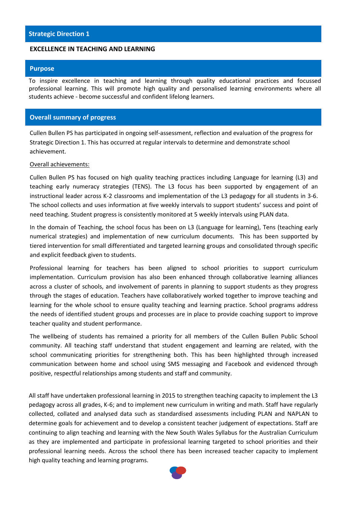## **EXCELLENCE IN TEACHING AND LEARNING**

#### **Purpose**

To inspire excellence in teaching and learning through quality educational practices and focussed professional learning. This will promote high quality and personalised learning environments where all students achieve - become successful and confident lifelong learners.

# **Overall summary of progress**

Cullen Bullen PS has participated in ongoing self-assessment, reflection and evaluation of the progress for Strategic Direction 1. This has occurred at regular intervals to determine and demonstrate school achievement.

#### Overall achievements:

Cullen Bullen PS has focused on high quality teaching practices including Language for learning (L3) and teaching early numeracy strategies (TENS). The L3 focus has been supported by engagement of an instructional leader across K-2 classrooms and implementation of the L3 pedagogy for all students in 3-6. The school collects and uses information at five weekly intervals to support students' success and point of need teaching. Student progress is consistently monitored at 5 weekly intervals using PLAN data.

In the domain of Teaching, the school focus has been on L3 (Language for learning), Tens (teaching early numerical strategies) and implementation of new curriculum documents. This has been supported by tiered intervention for small differentiated and targeted learning groups and consolidated through specific and explicit feedback given to students.

Professional learning for teachers has been aligned to school priorities to support curriculum implementation. Curriculum provision has also been enhanced through collaborative learning alliances across a cluster of schools, and involvement of parents in planning to support students as they progress through the stages of education. Teachers have collaboratively worked together to improve teaching and learning for the whole school to ensure quality teaching and learning practice. School programs address the needs of identified student groups and processes are in place to provide coaching support to improve teacher quality and student performance.

The wellbeing of students has remained a priority for all members of the Cullen Bullen Public School community. All teaching staff understand that student engagement and learning are related, with the school communicating priorities for strengthening both. This has been highlighted through increased communication between home and school using SMS messaging and Facebook and evidenced through positive, respectful relationships among students and staff and community.

All staff have undertaken professional learning in 2015 to strengthen teaching capacity to implement the L3 pedagogy across all grades, K-6; and to implement new curriculum in writing and math. Staff have regularly collected, collated and analysed data such as standardised assessments including PLAN and NAPLAN to determine goals for achievement and to develop a consistent teacher judgement of expectations. Staff are continuing to align teaching and learning with the New South Wales Syllabus for the Australian Curriculum as they are implemented and participate in professional learning targeted to school priorities and their professional learning needs. Across the school there has been increased teacher capacity to implement high quality teaching and learning programs.

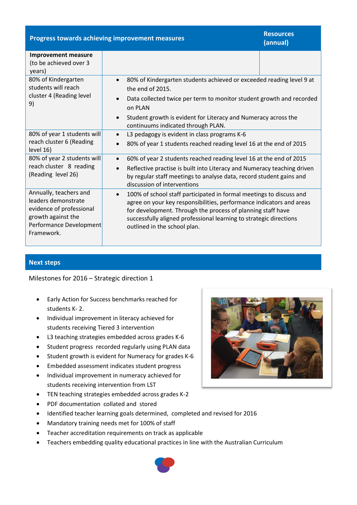| <b>Progress towards achieving improvement measures</b>                                                                                   | <b>Resources</b><br>(annual)                                                                                                                                                                                                                                                                                                  |  |  |
|------------------------------------------------------------------------------------------------------------------------------------------|-------------------------------------------------------------------------------------------------------------------------------------------------------------------------------------------------------------------------------------------------------------------------------------------------------------------------------|--|--|
| <b>Improvement measure</b><br>(to be achieved over 3<br>years)                                                                           |                                                                                                                                                                                                                                                                                                                               |  |  |
| 80% of Kindergarten<br>students will reach<br>cluster 4 (Reading level<br>9)                                                             | 80% of Kindergarten students achieved or exceeded reading level 9 at<br>the end of 2015.<br>Data collected twice per term to monitor student growth and recorded<br>on PLAN<br>Student growth is evident for Literacy and Numeracy across the<br>$\bullet$                                                                    |  |  |
| 80% of year 1 students will<br>reach cluster 6 (Reading<br>level 16)                                                                     | continuums indicated through PLAN.<br>L3 pedagogy is evident in class programs K-6<br>$\bullet$<br>80% of year 1 students reached reading level 16 at the end of 2015                                                                                                                                                         |  |  |
| 80% of year 2 students will<br>reach cluster 8 reading<br>(Reading level 26)                                                             | 60% of year 2 students reached reading level 16 at the end of 2015<br>$\bullet$<br>Reflective practise is built into Literacy and Numeracy teaching driven<br>$\bullet$<br>by regular staff meetings to analyse data, record student gains and<br>discussion of interventions                                                 |  |  |
| Annually, teachers and<br>leaders demonstrate<br>evidence of professional<br>growth against the<br>Performance Development<br>Framework. | 100% of school staff participated in formal meetings to discuss and<br>$\bullet$<br>agree on your key responsibilities, performance indicators and areas<br>for development. Through the process of planning staff have<br>successfully aligned professional learning to strategic directions<br>outlined in the school plan. |  |  |

**Next steps**

Milestones for 2016 – Strategic direction 1

- Early Action for Success benchmarks reached for students K- 2.
- Individual improvement in literacy achieved for students receiving Tiered 3 intervention
- L3 teaching strategies embedded across grades K-6
- Student progress recorded regularly using PLAN data
- Student growth is evident for Numeracy for grades K-6
- Embedded assessment indicates student progress
- Individual improvement in numeracy achieved for students receiving intervention from LST
- TEN teaching strategies embedded across grades K-2
- PDF documentation collated and stored
- Identified teacher learning goals determined, completed and revised for 2016
- Mandatory training needs met for 100% of staff
- Teacher accreditation requirements on track as applicable
- Teachers embedding quality educational practices in line with the Australian Curriculum



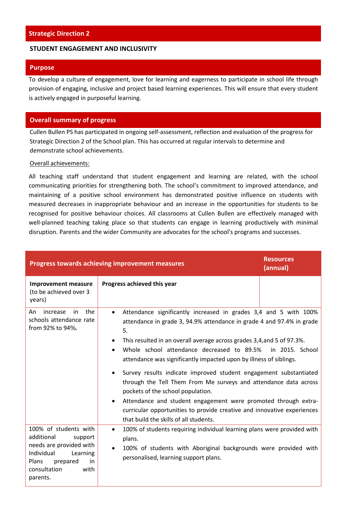### **STUDENT ENGAGEMENT AND INCLUSIVITY**

#### **Purpose**

To develop a culture of engagement, love for learning and eagerness to participate in school life through provision of engaging, inclusive and project based learning experiences. This will ensure that every student is actively engaged in purposeful learning.

## **Overall summary of progress**

Cullen Bullen PS has participated in ongoing self-assessment, reflection and evaluation of the progress for Strategic Direction 2 of the School plan. This has occurred at regular intervals to determine and demonstrate school achievements.

### Overall achievements:

All teaching staff understand that student engagement and learning are related, with the school communicating priorities for strengthening both. The school's commitment to improved attendance, and maintaining of a positive school environment has demonstrated positive influence on students with measured decreases in inappropriate behaviour and an increase in the opportunities for students to be recognised for positive behaviour choices. All classrooms at Cullen Bullen are effectively managed with well-planned teaching taking place so that students can engage in learning productively with minimal disruption. Parents and the wider Community are advocates for the school's programs and successes.

| <b>Progress towards achieving improvement measures</b>                                                                                                                     | <b>Resources</b><br>(annual)                                                                                                                                                                                                                                                                                                                                                                                                                                                                                                                                                                                                                                                                                                                 |                 |
|----------------------------------------------------------------------------------------------------------------------------------------------------------------------------|----------------------------------------------------------------------------------------------------------------------------------------------------------------------------------------------------------------------------------------------------------------------------------------------------------------------------------------------------------------------------------------------------------------------------------------------------------------------------------------------------------------------------------------------------------------------------------------------------------------------------------------------------------------------------------------------------------------------------------------------|-----------------|
| <b>Improvement measure</b><br>(to be achieved over 3<br>years)                                                                                                             | Progress achieved this year                                                                                                                                                                                                                                                                                                                                                                                                                                                                                                                                                                                                                                                                                                                  |                 |
| the<br>increase<br>An<br>in<br>schools attendance rate<br>from 92% to 94%.                                                                                                 | Attendance significantly increased in grades 3,4 and 5 with 100%<br>$\bullet$<br>attendance in grade 3, 94.9% attendance in grade 4 and 97.4% in grade<br>5.<br>This resulted in an overall average across grades 3,4, and 5 of 97.3%.<br>$\bullet$<br>Whole school attendance decreased to 89.5%<br>attendance was significantly impacted upon by illness of siblings.<br>Survey results indicate improved student engagement substantiated<br>through the Tell Them From Me surveys and attendance data across<br>pockets of the school population.<br>Attendance and student engagement were promoted through extra-<br>curricular opportunities to provide creative and innovative experiences<br>that build the skills of all students. | in 2015. School |
| 100% of students with<br>additional<br>support<br>needs are provided with<br>Individual<br>Learning<br><b>Plans</b><br>prepared<br>in.<br>consultation<br>with<br>parents. | 100% of students requiring individual learning plans were provided with<br>$\bullet$<br>plans.<br>100% of students with Aboriginal backgrounds were provided with<br>personalised, learning support plans.                                                                                                                                                                                                                                                                                                                                                                                                                                                                                                                                   |                 |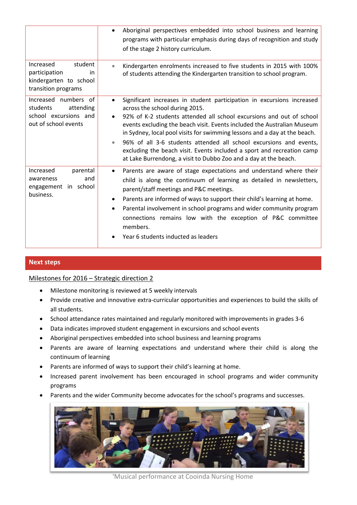|                                                                                                | Aboriginal perspectives embedded into school business and learning<br>programs with particular emphasis during days of recognition and study<br>of the stage 2 history curriculum.                                                                                                                                                                                                                                                                                                                                                                                                     |
|------------------------------------------------------------------------------------------------|----------------------------------------------------------------------------------------------------------------------------------------------------------------------------------------------------------------------------------------------------------------------------------------------------------------------------------------------------------------------------------------------------------------------------------------------------------------------------------------------------------------------------------------------------------------------------------------|
| student<br>Increased<br>participation<br>in<br>kindergarten to school<br>transition programs   | Kindergarten enrolments increased to five students in 2015 with 100%<br>of students attending the Kindergarten transition to school program.                                                                                                                                                                                                                                                                                                                                                                                                                                           |
| Increased numbers of<br>students<br>attending<br>school excursions and<br>out of school events | Significant increases in student participation in excursions increased<br>$\bullet$<br>across the school during 2015.<br>92% of K-2 students attended all school excursions and out of school<br>events excluding the beach visit. Events included the Australian Museum<br>in Sydney, local pool visits for swimming lessons and a day at the beach.<br>96% of all 3-6 students attended all school excursions and events,<br>$\bullet$<br>excluding the beach visit. Events included a sport and recreation camp<br>at Lake Burrendong, a visit to Dubbo Zoo and a day at the beach. |
| Increased<br>parental<br>and<br>awareness<br>engagement in school<br>business.                 | Parents are aware of stage expectations and understand where their<br>$\bullet$<br>child is along the continuum of learning as detailed in newsletters,<br>parent/staff meetings and P&C meetings.<br>Parents are informed of ways to support their child's learning at home.<br>٠<br>Parental involvement in school programs and wider community program<br>$\bullet$<br>connections remains low with the exception of P&C committee<br>members.<br>Year 6 students inducted as leaders                                                                                               |

# **Next steps**

# Milestones for 2016 – Strategic direction 2

- Milestone monitoring is reviewed at 5 weekly intervals
- Provide creative and innovative extra-curricular opportunities and experiences to build the skills of all students.
- School attendance rates maintained and regularly monitored with improvements in grades 3-6
- Data indicates improved student engagement in excursions and school events
- Aboriginal perspectives embedded into school business and learning programs
- Parents are aware of learning expectations and understand where their child is along the continuum of learning
- Parents are informed of ways to support their child's learning at home.
- Increased parent involvement has been encouraged in school programs and wider community programs
- Parents and the wider Community become advocates for the school's programs and successes.



'Musical performance at Cooinda Nursing Home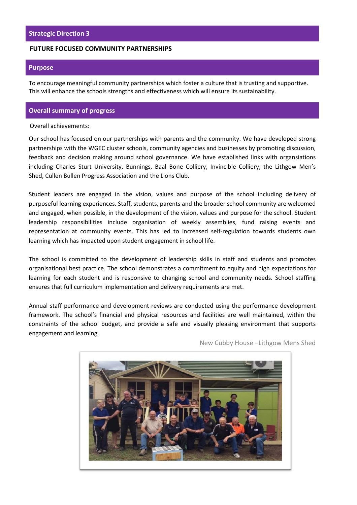### **FUTURE FOCUSED COMMUNITY PARTNERSHIPS**

### **Purpose**

To encourage meaningful community partnerships which foster a culture that is trusting and supportive. This will enhance the schools strengths and effectiveness which will ensure its sustainability.

# **Overall summary of progress**

#### Overall achievements:

Our school has focused on our partnerships with parents and the community. We have developed strong partnerships with the WGEC cluster schools, community agencies and businesses by promoting discussion, feedback and decision making around school governance. We have established links with organsiations including Charles Sturt University, Bunnings, Baal Bone Colliery, Invincible Colliery, the Lithgow Men's Shed, Cullen Bullen Progress Association and the Lions Club.

Student leaders are engaged in the vision, values and purpose of the school including delivery of purposeful learning experiences. Staff, students, parents and the broader school community are welcomed and engaged, when possible, in the development of the vision, values and purpose for the school. Student leadership responsibilities include organisation of weekly assemblies, fund raising events and representation at community events. This has led to increased self-regulation towards students own learning which has impacted upon student engagement in school life.

The school is committed to the development of leadership skills in staff and students and promotes organisational best practice. The school demonstrates a commitment to equity and high expectations for learning for each student and is responsive to changing school and community needs. School staffing ensures that full curriculum implementation and delivery requirements are met.

Annual staff performance and development reviews are conducted using the performance development framework. The school's financial and physical resources and facilities are well maintained, within the constraints of the school budget, and provide a safe and visually pleasing environment that supports engagement and learning.



New Cubby House –Lithgow Mens Shed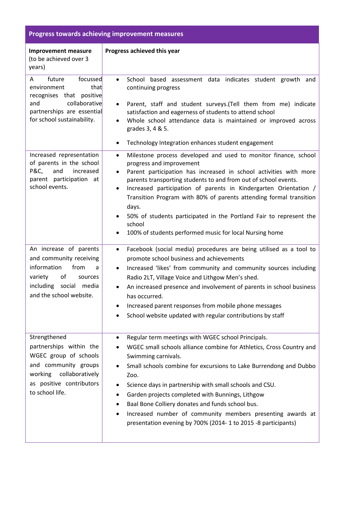| <b>Progress towards achieving improvement measures</b>                                                                                                                |                                                                                                                                                                                                                                                                                                                                                                                                                                                                                                                                                          |  |  |  |
|-----------------------------------------------------------------------------------------------------------------------------------------------------------------------|----------------------------------------------------------------------------------------------------------------------------------------------------------------------------------------------------------------------------------------------------------------------------------------------------------------------------------------------------------------------------------------------------------------------------------------------------------------------------------------------------------------------------------------------------------|--|--|--|
| <b>Improvement measure</b><br>(to be achieved over 3<br>years)                                                                                                        | Progress achieved this year                                                                                                                                                                                                                                                                                                                                                                                                                                                                                                                              |  |  |  |
| future<br>focussed<br>A<br>environment<br>that<br>recognises that positive<br>and<br>collaborative<br>partnerships are essential<br>for school sustainability.        | School based assessment data indicates student growth and<br>continuing progress<br>Parent, staff and student surveys. (Tell them from me) indicate<br>satisfaction and eagerness of students to attend school<br>Whole school attendance data is maintained or improved across<br>grades 3, 4 & 5.<br>Technology Integration enhances student engagement<br>٠                                                                                                                                                                                           |  |  |  |
| Increased representation<br>of parents in the school<br>P&C,<br>and<br>increased<br>parent participation at<br>school events.                                         | Milestone process developed and used to monitor finance, school<br>$\bullet$<br>progress and improvement<br>Parent participation has increased in school activities with more<br>٠<br>parents transporting students to and from out of school events.<br>Increased participation of parents in Kindergarten Orientation /<br>٠<br>Transition Program with 80% of parents attending formal transition<br>days.<br>50% of students participated in the Portland Fair to represent the<br>school<br>100% of students performed music for local Nursing home |  |  |  |
| An increase of parents<br>and community receiving<br>information<br>from<br>a<br>of<br>variety<br>sources<br>including social media<br>and the school website.        | Facebook (social media) procedures are being utilised as a tool to<br>$\bullet$<br>promote school business and achievements<br>Increased 'likes' from community and community sources including<br>$\bullet$<br>Radio 2LT, Village Voice and Lithgow Men's shed.<br>An increased presence and involvement of parents in school business<br>has occurred.<br>Increased parent responses from mobile phone messages<br>School website updated with regular contributions by staff                                                                          |  |  |  |
| Strengthened<br>partnerships within the<br>WGEC group of schools<br>and community groups<br>collaboratively<br>working<br>as positive contributors<br>to school life. | Regular term meetings with WGEC school Principals.<br>WGEC small schools alliance combine for Athletics, Cross Country and<br>Swimming carnivals.<br>Small schools combine for excursions to Lake Burrendong and Dubbo<br>Zoo.<br>Science days in partnership with small schools and CSU.<br>Garden projects completed with Bunnings, Lithgow<br>٠<br>Baal Bone Colliery donates and funds school bus.<br>٠<br>Increased number of community members presenting awards at<br>presentation evening by 700% (2014- 1 to 2015 -8 participants)              |  |  |  |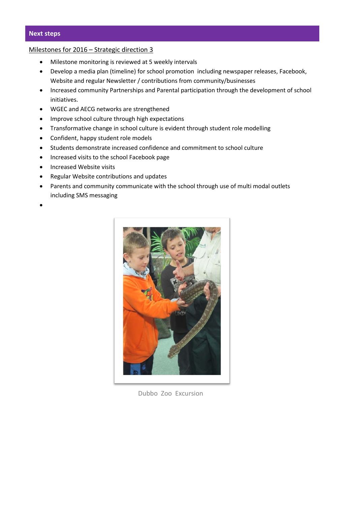# **Next steps**

# Milestones for 2016 – Strategic direction 3

- Milestone monitoring is reviewed at 5 weekly intervals
- Develop a media plan (timeline) for school promotion including newspaper releases, Facebook, Website and regular Newsletter / contributions from community/businesses
- Increased community Partnerships and Parental participation through the development of school initiatives.
- WGEC and AECG networks are strengthened
- Improve school culture through high expectations
- Transformative change in school culture is evident through student role modelling
- Confident, happy student role models
- Students demonstrate increased confidence and commitment to school culture
- Increased visits to the school Facebook page
- Increased Website visits
- Regular Website contributions and updates
- Parents and community communicate with the school through use of multi modal outlets including SMS messaging
- •



Dubbo Zoo Excursion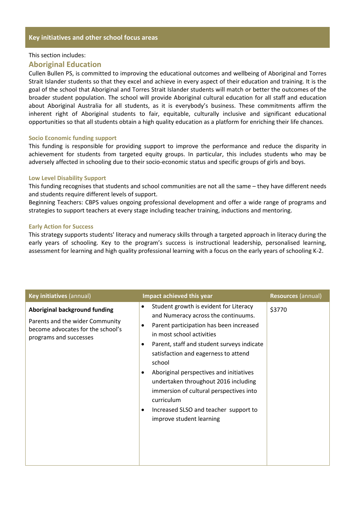## **Key initiatives and other school focus areas**

#### This section includes:

### **Aboriginal Education**

Cullen Bullen PS, is committed to improving the educational outcomes and wellbeing of Aboriginal and Torres Strait Islander students so that they excel and achieve in every aspect of their education and training. It is the goal of the school that Aboriginal and Torres Strait Islander students will match or better the outcomes of the broader student population. The school will provide Aboriginal cultural education for all staff and education about Aboriginal Australia for all students, as it is everybody's business. These commitments affirm the inherent right of Aboriginal students to fair, equitable, culturally inclusive and significant educational opportunities so that all students obtain a high quality education as a platform for enriching their life chances.

#### **Socio Economic funding support**

This funding is responsible for providing support to improve the performance and reduce the disparity in achievement for students from targeted equity groups. In particular, this includes students who may be adversely affected in schooling due to their socio-economic status and specific groups of girls and boys.

#### **Low Level Disability Support**

This funding recognises that students and school communities are not all the same – they have different needs and students require different levels of support.

Beginning Teachers: CBPS values ongoing professional development and offer a wide range of programs and strategies to support teachers at every stage including teacher training, inductions and mentoring.

#### **Early Action for Success**

This strategy supports students' literacy and numeracy skills through a targeted approach in literacy during the early years of schooling. Key to the program's success is instructional leadership, personalised learning, assessment for learning and high quality professional learning with a focus on the early years of schooling K-2.

| Key initiatives (annual)                                                                                                               | Impact achieved this year                                                                                                                                                                                                                                                                                                                                                                                                                                                           | <b>Resources (annual)</b> |  |
|----------------------------------------------------------------------------------------------------------------------------------------|-------------------------------------------------------------------------------------------------------------------------------------------------------------------------------------------------------------------------------------------------------------------------------------------------------------------------------------------------------------------------------------------------------------------------------------------------------------------------------------|---------------------------|--|
| <b>Aboriginal background funding</b><br>Parents and the wider Community<br>become advocates for the school's<br>programs and successes | Student growth is evident for Literacy<br>$\bullet$<br>and Numeracy across the continuums.<br>Parent participation has been increased<br>in most school activities<br>Parent, staff and student surveys indicate<br>satisfaction and eagerness to attend<br>school<br>Aboriginal perspectives and initiatives<br>undertaken throughout 2016 including<br>immersion of cultural perspectives into<br>curriculum<br>Increased SLSO and teacher support to<br>improve student learning | \$3770                    |  |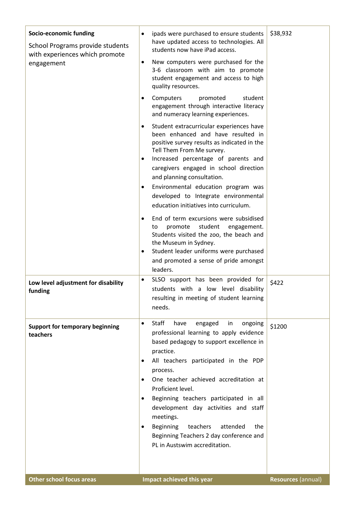| Socio-economic funding<br>School Programs provide students<br>with experiences which promote<br>engagement<br>Low level adjustment for disability<br>funding | ipads were purchased to ensure students<br>$\bullet$<br>have updated access to technologies. All<br>students now have iPad access.<br>New computers were purchased for the<br>3-6 classroom with aim to promote<br>student engagement and access to high<br>quality resources.<br>Computers<br>promoted<br>student<br>engagement through interactive literacy<br>and numeracy learning experiences.<br>Student extracurricular experiences have<br>been enhanced and have resulted in<br>positive survey results as indicated in the<br>Tell Them From Me survey.<br>Increased percentage of parents and<br>caregivers engaged in school direction<br>and planning consultation.<br>Environmental education program was<br>developed to Integrate environmental<br>education initiatives into curriculum.<br>End of term excursions were subsidised<br>student<br>promote<br>to<br>engagement.<br>Students visited the zoo, the beach and<br>the Museum in Sydney.<br>Student leader uniforms were purchased<br>$\bullet$<br>and promoted a sense of pride amongst<br>leaders.<br>SLSO support has been provided for<br>$\bullet$<br>students with a low level disability<br>resulting in meeting of student learning | \$38,932<br>\$422  |
|--------------------------------------------------------------------------------------------------------------------------------------------------------------|-----------------------------------------------------------------------------------------------------------------------------------------------------------------------------------------------------------------------------------------------------------------------------------------------------------------------------------------------------------------------------------------------------------------------------------------------------------------------------------------------------------------------------------------------------------------------------------------------------------------------------------------------------------------------------------------------------------------------------------------------------------------------------------------------------------------------------------------------------------------------------------------------------------------------------------------------------------------------------------------------------------------------------------------------------------------------------------------------------------------------------------------------------------------------------------------------------------------------|--------------------|
| <b>Support for temporary beginning</b>                                                                                                                       | needs.<br>Staff<br>have<br>engaged<br>in<br>ongoing<br>$\bullet$                                                                                                                                                                                                                                                                                                                                                                                                                                                                                                                                                                                                                                                                                                                                                                                                                                                                                                                                                                                                                                                                                                                                                      | \$1200             |
| teachers                                                                                                                                                     | professional learning to apply evidence<br>based pedagogy to support excellence in<br>practice.<br>All teachers participated in the PDP<br>process.<br>One teacher achieved accreditation at<br>Proficient level.<br>Beginning teachers participated in all<br>development day activities and staff<br>meetings.<br>Beginning<br>teachers<br>attended<br>the<br>Beginning Teachers 2 day conference and<br>PL in Austswim accreditation.                                                                                                                                                                                                                                                                                                                                                                                                                                                                                                                                                                                                                                                                                                                                                                              |                    |
| <b>Other school focus areas</b>                                                                                                                              | Impact achieved this year                                                                                                                                                                                                                                                                                                                                                                                                                                                                                                                                                                                                                                                                                                                                                                                                                                                                                                                                                                                                                                                                                                                                                                                             | Resources (annual) |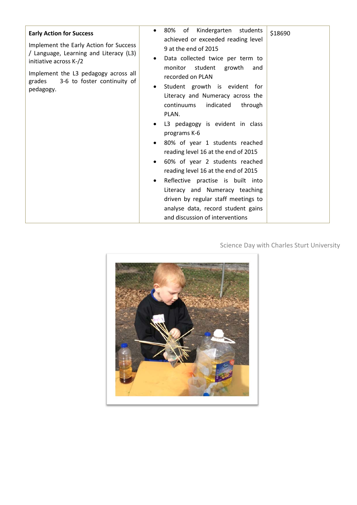| <b>Early Action for Success</b><br>Implement the Early Action for Success<br>/ Language, Learning and Literacy (L3)<br>initiative across K-/2<br>Implement the L3 pedagogy across all<br>grades<br>3-6 to foster continuity of<br>pedagogy. | Kindergarten students<br>\$18690<br>achieved or exceeded reading level<br>9 at the end of 2015<br>Data collected twice per term to<br>٠<br>monitor student<br>growth<br>and<br>recorded on PLAN<br>Student growth is evident for<br>Literacy and Numeracy across the<br>continuums<br>indicated<br>through<br>PLAN.<br>L3 pedagogy is evident in class<br>٠<br>programs K-6<br>80% of year 1 students reached<br>reading level 16 at the end of 2015<br>60% of year 2 students reached<br>٠<br>reading level 16 at the end of 2015<br>Reflective practise is built into<br>$\bullet$<br>Literacy and Numeracy teaching<br>driven by regular staff meetings to<br>analyse data, record student gains<br>and discussion of interventions |
|---------------------------------------------------------------------------------------------------------------------------------------------------------------------------------------------------------------------------------------------|----------------------------------------------------------------------------------------------------------------------------------------------------------------------------------------------------------------------------------------------------------------------------------------------------------------------------------------------------------------------------------------------------------------------------------------------------------------------------------------------------------------------------------------------------------------------------------------------------------------------------------------------------------------------------------------------------------------------------------------|
|---------------------------------------------------------------------------------------------------------------------------------------------------------------------------------------------------------------------------------------------|----------------------------------------------------------------------------------------------------------------------------------------------------------------------------------------------------------------------------------------------------------------------------------------------------------------------------------------------------------------------------------------------------------------------------------------------------------------------------------------------------------------------------------------------------------------------------------------------------------------------------------------------------------------------------------------------------------------------------------------|

Science Day with Charles Sturt University

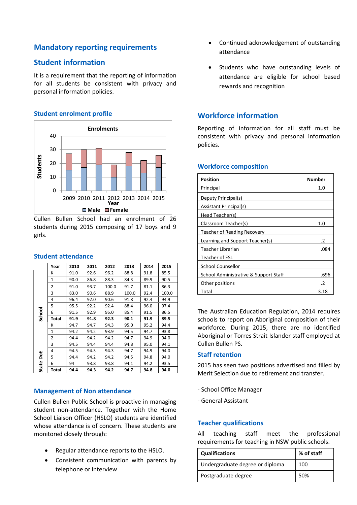# **Mandatory reporting requirements**

# **Student information**

It is a requirement that the reporting of information for all students be consistent with privacy and personal information policies.

# **Student enrolment profile**



Cullen Bullen School had an enrolment of 26 students during 2015 composing of 17 boys and 9 girls.

|  | <b>Student attendance</b> |  |
|--|---------------------------|--|
|  |                           |  |

|        | Year  | 2010 | 2011 | 2012  | 2013  | 2014 | 2015  |
|--------|-------|------|------|-------|-------|------|-------|
|        | K     | 91.0 | 92.6 | 96.2  | 88.8  | 91.8 | 85.5  |
|        | 1     | 90.0 | 86.8 | 88.3  | 84.3  | 89.9 | 90.5  |
|        | 2     | 91.0 | 93.7 | 100.0 | 91.7  | 81.1 | 86.3  |
|        | 3     | 83.0 | 90.6 | 88.9  | 100.0 | 92.4 | 100.0 |
|        | 4     | 96.4 | 92.0 | 90.6  | 91.8  | 92.4 | 94.9  |
|        | 5     | 95.5 | 92.2 | 92.4  | 88.4  | 96.0 | 97.4  |
|        | 6     | 91.5 | 92.9 | 95.0  | 85.4  | 91.5 | 86.5  |
| School | Total | 91.9 | 91.8 | 92.3  | 90.1  | 91.9 | 89.5  |
|        | К     | 94.7 | 94.7 | 94.3  | 95.0  | 95.2 | 94.4  |
|        | 1     | 94.2 | 94.2 | 93.9  | 94.5  | 94.7 | 93.8  |
|        | 2     | 94.4 | 94.2 | 94.2  | 94.7  | 94.9 | 94.0  |
|        | 3     | 94.5 | 94.4 | 94.4  | 94.8  | 95.0 | 94.1  |
| ă      | 4     | 94.5 | 94.3 | 94.3  | 94.7  | 94.9 | 94.0  |
|        | 5     | 94.4 | 94.2 | 94.2  | 94.5  | 94.8 | 94.0  |
| State  | 6     | 94   | 93.8 | 93.8  | 94.1  | 94.2 | 93.5  |
|        | Total | 94.4 | 94.3 | 94.2  | 94.7  | 94.8 | 94.0  |

## **Management of Non attendance**

Cullen Bullen Public School is proactive in managing student non-attendance. Together with the Home School Liaison Officer (HSLO) students are identified whose attendance is of concern. These students are monitored closely through:

- Regular attendance reports to the HSLO.
- Consistent communication with parents by telephone or interview
- Continued acknowledgement of outstanding attendance
- Students who have outstanding levels of attendance are eligible for school based rewards and recognition

# **Workforce information**

Reporting of information for all staff must be consistent with privacy and personal information policies.

| Position                              | <b>Number</b> |
|---------------------------------------|---------------|
| Principal                             | 1.0           |
| Deputy Principal(s)                   |               |
| Assistant Principal(s)                |               |
| Head Teacher(s)                       |               |
| Classroom Teacher(s)                  | 1.0           |
| Teacher of Reading Recovery           |               |
| Learning and Support Teacher(s)       | .2            |
| Teacher Librarian                     | .084          |
| Teacher of ESL                        |               |
| <b>School Counsellor</b>              |               |
| School Administrative & Support Staff | .696          |
| Other positions                       |               |
| Total                                 | 3.18          |

The Australian Education Regulation, 2014 requires schools to report on Aboriginal composition of their workforce. During 2015, there are no identified Aboriginal or Torres Strait Islander staff employed at Cullen Bullen PS.

## **Staff retention**

2015 has seen two positions advertised and filled by Merit Selection due to retirement and transfer.

- School Office Manager
- General Assistant

# **Teacher qualifications**

All teaching staff meet the professional requirements for teaching in NSW public schools.

| <b>Qualifications</b>           | % of staff |
|---------------------------------|------------|
| Undergraduate degree or diploma | 100        |
| Postgraduate degree             | 50%        |

### **Workforce composition**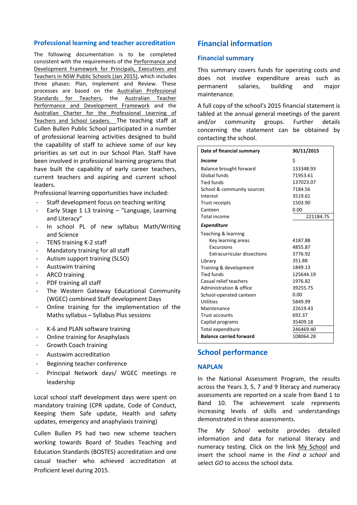### **Professional learning and teacher accreditation**

The following documentation is to be completed consistent with the requirements of the [Performance and](https://www.det.nsw.edu.au/media/downloads/about-us/our-reforms/pdp/pdp-framework-15116.pdf)  [Development Framework for Principals, Executives and](https://www.det.nsw.edu.au/media/downloads/about-us/our-reforms/pdp/pdp-framework-15116.pdf)  [Teachers in NSW Public Schools \(Jan 2015\),](https://www.det.nsw.edu.au/media/downloads/about-us/our-reforms/pdp/pdp-framework-15116.pdf) which includes three phases: Plan, Implement and Review. These processes are based on the [Australian Professional](http://www.nswteachers.nsw.edu.au/publications-policies-resources/publications/australian-professional-standards-for-teachers/)  [Standards for Teachers,](http://www.nswteachers.nsw.edu.au/publications-policies-resources/publications/australian-professional-standards-for-teachers/) the Australian Teacher [Performance and Development Framework](http://www.aitsl.edu.au/docs/default-source/default-document-library/australian_teacher_performance_and_development_framework) and the [Australian Charter for the Professional Learning of](http://www.aitsl.edu.au/docs/default-source/default-document-library/australian_charter_for_the_professional_learning_of_teachers_and_school_leaders)  [Teachers and School Leaders.](http://www.aitsl.edu.au/docs/default-source/default-document-library/australian_charter_for_the_professional_learning_of_teachers_and_school_leaders) The teaching staff at Cullen Bullen Public School participated in a number of professional learning activities designed to build the capability of staff to achieve some of our key priorities as set out in our School Plan. Staff have been involved in professional learning programs that have built the capability of early career teachers, current teachers and aspiring and current school leaders.

Professional learning opportunities have included:

- Staff development focus on teaching writing
- Early Stage 1 L3 training  $-$  "Language, Learning and Literacy"
- In school PL of new syllabus Math/Writing and Science
- TENS training K-2 staff
- Mandatory training for all staff
- Autism support training (SLSO)
- Austswim training
- ARCO training
- PDF training all staff
- The Western Gateway Educational Community (WGEC) combined Staff development Days
- Online training for the implementation of the Maths syllabus – Syllabus Plus sessions
- K-6 and PLAN software training
- Online training for Anaphylaxis
- Growth Coach training
- Austswim accreditation
- Beginning teacher conference
- Principal Network days/ WGEC meetings re leadership

Local school staff development days were spent on mandatory training (CPR update, Code of Conduct, Keeping them Safe update, Health and safety updates, emergency and anaphylaxis training)

Cullen Bullen PS had two new scheme teachers working towards Board of Studies Teaching and Education Standards (BOSTES) accreditation and one casual teacher who achieved accreditation at Proficient level during 2015.

# **Financial information**

### **Financial summary**

This summary covers funds for operating costs and does not involve expenditure areas such as permanent salaries, building and major maintenance.

A full copy of the school's 2015 financial statement is tabled at the annual general meetings of the parent and/or community groups. Further details concerning the statement can be obtained by contacting the school.

| Date of financial summary          | 30/11/2015 |
|------------------------------------|------------|
| <i>Income</i>                      | Ś          |
| Balance brought forward            | 133348.93  |
| Global funds                       | 71953.61   |
| <b>Tied funds</b>                  | 137023.07  |
| School & community sources         | 7184.56    |
| Interest                           | 3519.61    |
| <b>Trust receipts</b>              | 1503.90    |
| Canteen                            | 0.00       |
| Total income                       | 221184.75  |
| <b>Expenditure</b>                 |            |
| Teaching & learning                |            |
| Key learning areas                 | 4187.88    |
| <b>Excursions</b>                  | 4855.87    |
| <b>Extracurricular dissections</b> | 3776.92    |
| Library                            | 351.88     |
| Training & development             | 1849.13    |
| Tied funds                         | 125644.19  |
| Casual relief teachers             | 1976.82    |
| Administration & office            | 39255.75   |
| School-operated canteen            | 0.00       |
| <b>Utilities</b>                   | 5849.99    |
| Maintenance                        | 22619.43   |
| <b>Trust accounts</b>              | 692.37     |
| Capital programs                   | 35409.18   |
| Total expenditure                  | 246469.40  |
| <b>Balance carried forward</b>     | 108064.28  |

# **School performance**

## **NAPLAN**

In the National Assessment Program, the results across the Years 3, 5, 7 and 9 literacy and numeracy assessments are reported on a scale from Band 1 to Band 10. The achievement scale represents increasing levels of skills and understandings demonstrated in these assessments.

The *My School* website provides detailed information and data for national literacy and numeracy testing. Click on the link [My School](http://www.myschool.edu.au/) and insert the school name in the *Find a school* and select *GO* to access the school data.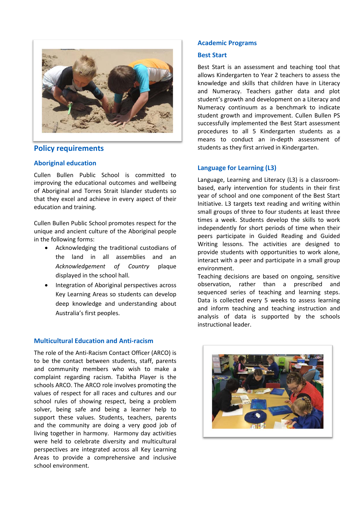

# **Policy requirements**

# **Aboriginal education**

Cullen Bullen Public School is committed to improving the educational outcomes and wellbeing of Aboriginal and Torres Strait Islander students so that they excel and achieve in every aspect of their education and training.

Cullen Bullen Public School promotes respect for the unique and ancient culture of the Aboriginal people in the following forms:

- Acknowledging the traditional custodians of the land in all assemblies and an *Acknowledgement of Country* plaque displayed in the school hall.
- Integration of Aboriginal perspectives across Key Learning Areas so students can develop deep knowledge and understanding about Australia's first peoples.

# **Multicultural Education and Anti-racism**

The role of the Anti-Racism Contact Officer (ARCO) is to be the contact between students, staff, parents and community members who wish to make a complaint regarding racism. Tabitha Player is the schools ARCO. The ARCO role involves promoting the values of respect for all races and cultures and our school rules of showing respect, being a problem solver, being safe and being a learner help to support these values. Students, teachers, parents and the community are doing a very good job of living together in harmony. Harmony day activities were held to celebrate diversity and multicultural perspectives are integrated across all Key Learning Areas to provide a comprehensive and inclusive school environment.

# **Academic Programs**

# **Best Start**

Best Start is an assessment and teaching tool that allows Kindergarten to Year 2 teachers to assess the knowledge and skills that children have in Literacy and Numeracy. Teachers gather data and plot student's growth and development on a Literacy and Numeracy continuum as a benchmark to indicate student growth and improvement. Cullen Bullen PS successfully implemented the Best Start assessment procedures to all 5 Kindergarten students as a means to conduct an in-depth assessment of students as they first arrived in Kindergarten.

# **Language for Learning (L3)**

Language, Learning and Literacy (L3) is a classroombased, early intervention for students in their first year of school and one component of the Best Start Initiative. L3 targets text reading and writing within small groups of three to four students at least three times a week. Students develop the skills to work independently for short periods of time when their peers participate in Guided Reading and Guided Writing lessons. The activities are designed to provide students with opportunities to work alone, interact with a peer and participate in a small group environment.

Teaching decisions are based on ongoing, sensitive observation, rather than a prescribed and sequenced series of teaching and learning steps. Data is collected every 5 weeks to assess learning and inform teaching and teaching instruction and analysis of data is supported by the schools instructional leader.